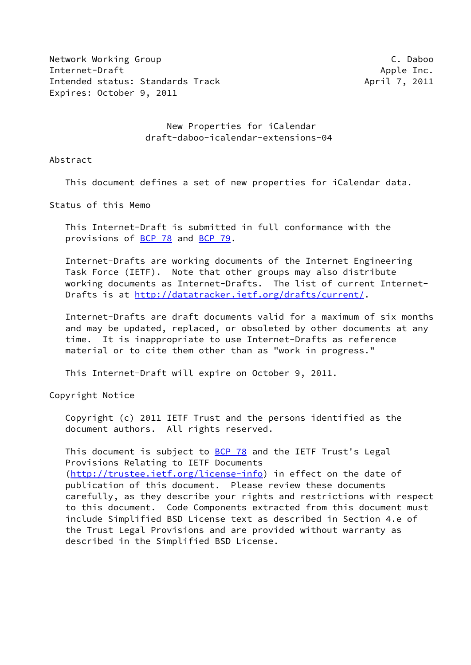Network Working Group Camera Controller and the C. Daboo Internet-Draft Apple Inc. Intended status: Standards Track April 7, 2011 Expires: October 9, 2011

 New Properties for iCalendar draft-daboo-icalendar-extensions-04

Abstract

This document defines a set of new properties for iCalendar data.

Status of this Memo

 This Internet-Draft is submitted in full conformance with the provisions of [BCP 78](https://datatracker.ietf.org/doc/pdf/bcp78) and [BCP 79](https://datatracker.ietf.org/doc/pdf/bcp79).

 Internet-Drafts are working documents of the Internet Engineering Task Force (IETF). Note that other groups may also distribute working documents as Internet-Drafts. The list of current Internet- Drafts is at<http://datatracker.ietf.org/drafts/current/>.

 Internet-Drafts are draft documents valid for a maximum of six months and may be updated, replaced, or obsoleted by other documents at any time. It is inappropriate to use Internet-Drafts as reference material or to cite them other than as "work in progress."

This Internet-Draft will expire on October 9, 2011.

Copyright Notice

 Copyright (c) 2011 IETF Trust and the persons identified as the document authors. All rights reserved.

This document is subject to **[BCP 78](https://datatracker.ietf.org/doc/pdf/bcp78)** and the IETF Trust's Legal Provisions Relating to IETF Documents [\(http://trustee.ietf.org/license-info](http://trustee.ietf.org/license-info)) in effect on the date of publication of this document. Please review these documents carefully, as they describe your rights and restrictions with respect to this document. Code Components extracted from this document must include Simplified BSD License text as described in Section 4.e of the Trust Legal Provisions and are provided without warranty as described in the Simplified BSD License.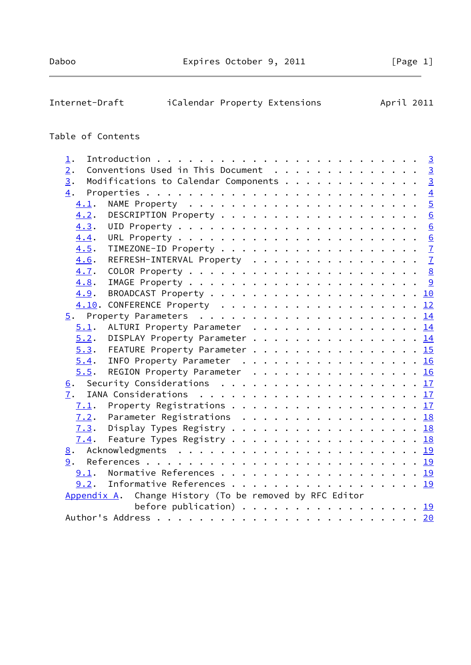| Internet-Draft    | iCalendar Property Extensions                                                            | April 2011 |                |
|-------------------|------------------------------------------------------------------------------------------|------------|----------------|
| Table of Contents |                                                                                          |            |                |
| $\perp$ .         |                                                                                          |            |                |
| 2.                | Conventions Used in This Document 3                                                      |            |                |
| 3.                | Modifications to Calendar Components 3                                                   |            |                |
| 4.                |                                                                                          |            | $\overline{4}$ |
| 4.1.              |                                                                                          |            | $\overline{5}$ |
| 4.2.              |                                                                                          |            |                |
| 4.3.              |                                                                                          |            |                |
| 4.4.              |                                                                                          |            |                |
| 4.5.              |                                                                                          |            |                |
| 4.6.              | REFRESH-INTERVAL Property 7                                                              |            |                |
| 4.7.              |                                                                                          |            |                |
| 4.8.              |                                                                                          |            |                |
| 4.9.              |                                                                                          |            |                |
|                   | 4.10. CONFERENCE Property 12                                                             |            |                |
|                   |                                                                                          |            |                |
| 5.1.              | ALTURI Property Parameter 14                                                             |            |                |
| 5.2.              | DISPLAY Property Parameter 14                                                            |            |                |
| 5.3.              | FEATURE Property Parameter 15                                                            |            |                |
| 5.4.              | INFO Property Parameter 16                                                               |            |                |
| 5.5.              | REGION Property Parameter 16                                                             |            |                |
| <u>6</u> .        | Security Considerations $\ldots \ldots \ldots \ldots \ldots \ldots \ldots \frac{17}{11}$ |            |                |
| 7.                |                                                                                          |            |                |
| 7.1.              | Property Registrations 17                                                                |            |                |
| 7.2.              | Parameter Registrations $\ldots \ldots \ldots \ldots \ldots \ldots \frac{18}{18}$        |            |                |
| 7.3.              | Display Types Registry 18                                                                |            |                |
| 7.4.              | Feature Types Registry 18                                                                |            |                |
| 8.                |                                                                                          |            |                |

 [9](#page-20-2). References . . . . . . . . . . . . . . . . . . . . . . . . . . [19](#page-20-1) [9.1](#page-20-3). Normative References . . . . . . . . . . . . . . . . . . [19](#page-20-1) [9.2](#page-20-4). Informative References . . . . . . . . . . . . . . . . . . [19](#page-20-1)

Author's Address . . . . . . . . . . . . . . . . . . . . . . . . . [20](#page-21-1)

before publication)  $\cdots$  . . . . . . . . . . . . . . . [19](#page-20-1)

[Appendix A](#page-21-0). Change History (To be removed by RFC Editor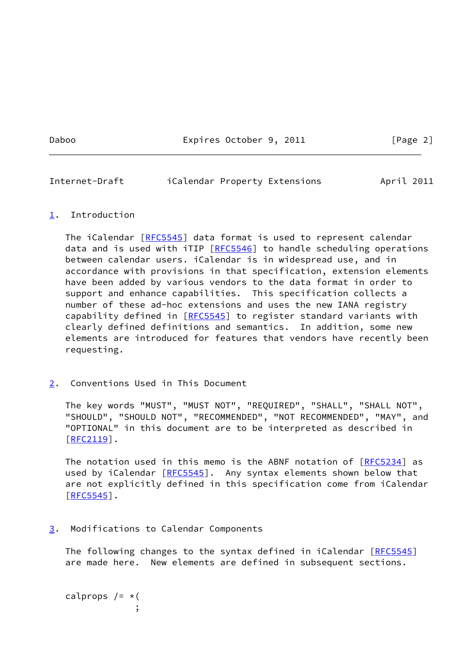Daboo **Expires October 9, 2011** [Page 2]

<span id="page-2-1"></span>Internet-Draft iCalendar Property Extensions April 2011

## <span id="page-2-0"></span>[1](#page-2-0). Introduction

The iCalendar [[RFC5545](https://datatracker.ietf.org/doc/pdf/rfc5545)] data format is used to represent calendar data and is used with iTIP [[RFC5546\]](https://datatracker.ietf.org/doc/pdf/rfc5546) to handle scheduling operations between calendar users. iCalendar is in widespread use, and in accordance with provisions in that specification, extension elements have been added by various vendors to the data format in order to support and enhance capabilities. This specification collects a number of these ad-hoc extensions and uses the new IANA registry capability defined in [[RFC5545](https://datatracker.ietf.org/doc/pdf/rfc5545)] to register standard variants with clearly defined definitions and semantics. In addition, some new elements are introduced for features that vendors have recently been requesting.

<span id="page-2-2"></span>[2](#page-2-2). Conventions Used in This Document

 The key words "MUST", "MUST NOT", "REQUIRED", "SHALL", "SHALL NOT", "SHOULD", "SHOULD NOT", "RECOMMENDED", "NOT RECOMMENDED", "MAY", and "OPTIONAL" in this document are to be interpreted as described in  $[REC2119]$ .

The notation used in this memo is the ABNF notation of [\[RFC5234](https://datatracker.ietf.org/doc/pdf/rfc5234)] as used by iCalendar [[RFC5545](https://datatracker.ietf.org/doc/pdf/rfc5545)]. Any syntax elements shown below that are not explicitly defined in this specification come from iCalendar  $[REC5545]$ .

<span id="page-2-3"></span>[3](#page-2-3). Modifications to Calendar Components

The following changes to the syntax defined in iCalendar [\[RFC5545](https://datatracker.ietf.org/doc/pdf/rfc5545)] are made here. New elements are defined in subsequent sections.

calprops  $/=\star$  ( ;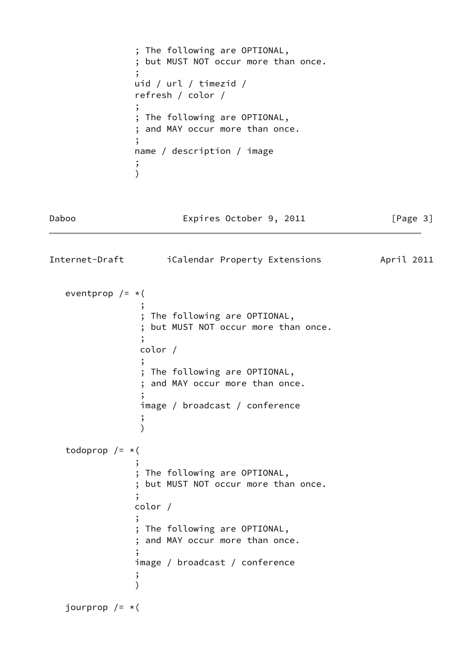```
 ; The following are OPTIONAL,
              ; but MUST NOT occur more than once.
 ;
              uid / url / timezid /
              refresh / color /
 ;
              ; The following are OPTIONAL,
              ; and MAY occur more than once.
 ;
              name / description / image
 ;
\overline{\phantom{a}}
```
<span id="page-3-0"></span>Internet-Draft iCalendar Property Extensions April 2011

Daboo **Expires October 9, 2011** [Page 3]

```
eventprop /=\star (
 ;
              ; The following are OPTIONAL,
              ; but MUST NOT occur more than once.
 ;
              color /
 ;
              ; The following are OPTIONAL,
              ; and MAY occur more than once.
 ;
              image / broadcast / conference
 ;
)todoprop /=\star (
 ;
             ; The following are OPTIONAL,
             ; but MUST NOT occur more than once.
 ;
             color /
 ;
             ; The following are OPTIONAL,
             ; and MAY occur more than once.
 ;
             image / broadcast / conference
 ;
\overline{\phantom{a}}jourprop /=\ast (
```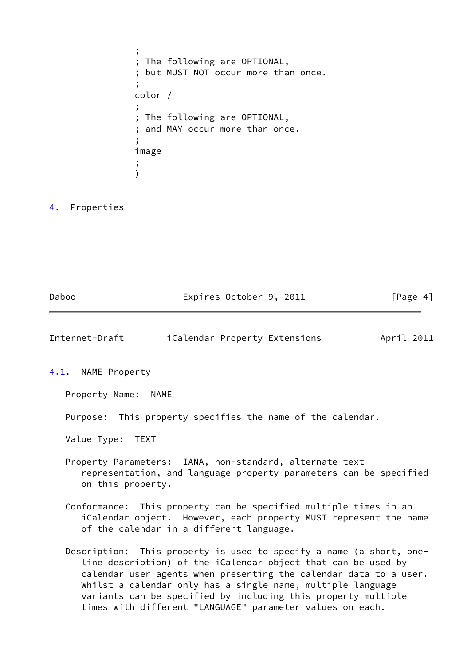; ; The following are OPTIONAL, ; but MUST NOT occur more than once. ; color / ; ; The following are OPTIONAL, ; and MAY occur more than once. ; image ;  $\overline{\phantom{a}}$ 

# <span id="page-4-0"></span>[4](#page-4-0). Properties

<span id="page-4-2"></span><span id="page-4-1"></span>

| Internet-Draft         | iCalendar Property Extensions                     | April 2011 |
|------------------------|---------------------------------------------------|------------|
| NAME Property<br>4.1.  |                                                   |            |
| Property Name:<br>NAME |                                                   |            |
| Purpose:               | This property specifies the name of the calendar. |            |
| Value Type:<br>TEXT    |                                                   |            |

Daboo **Expires October 9, 2011** [Page 4]

- Property Parameters: IANA, non-standard, alternate text representation, and language property parameters can be specified on this property.
- Conformance: This property can be specified multiple times in an iCalendar object. However, each property MUST represent the name of the calendar in a different language.
- Description: This property is used to specify a name (a short, one line description) of the iCalendar object that can be used by calendar user agents when presenting the calendar data to a user. Whilst a calendar only has a single name, multiple language variants can be specified by including this property multiple times with different "LANGUAGE" parameter values on each.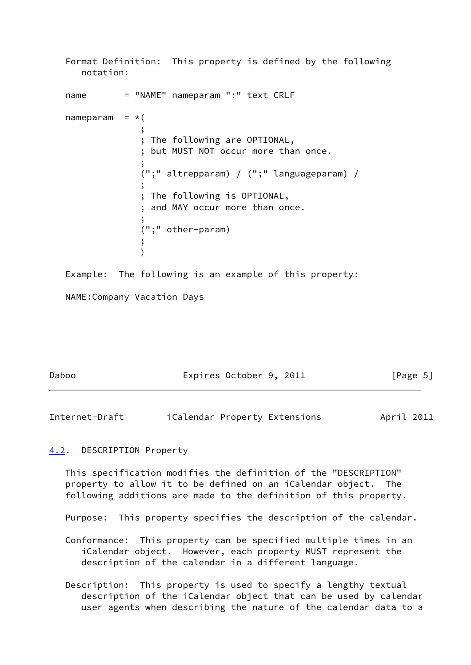```
 Format Definition: This property is defined by the following
     notation:
  name = "NAME" nameparam ":" text CRLF
  nameparam = *( ;
              ; The following are OPTIONAL,
               ; but MUST NOT occur more than once.
 ;
               (";" altrepparam) / (";" languageparam) /
 ;
               ; The following is OPTIONAL,
               ; and MAY occur more than once.
 ;
              (";" other-param)
 ;
) Example: The following is an example of this property:
   NAME:Company Vacation Days
```

| Daboo | Expires October 9, 2011 | [Page 5] |
|-------|-------------------------|----------|
|       |                         |          |

<span id="page-5-1"></span>Internet-Draft iCalendar Property Extensions April 2011

## <span id="page-5-0"></span>[4.2](#page-5-0). DESCRIPTION Property

 This specification modifies the definition of the "DESCRIPTION" property to allow it to be defined on an iCalendar object. The following additions are made to the definition of this property.

Purpose: This property specifies the description of the calendar.

 Conformance: This property can be specified multiple times in an iCalendar object. However, each property MUST represent the description of the calendar in a different language.

 Description: This property is used to specify a lengthy textual description of the iCalendar object that can be used by calendar user agents when describing the nature of the calendar data to a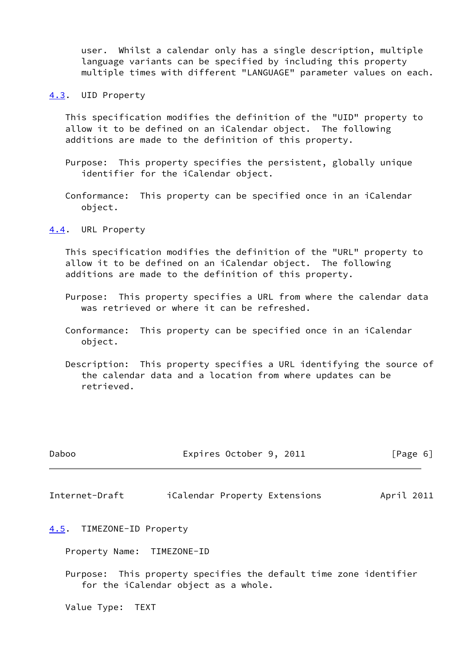user. Whilst a calendar only has a single description, multiple language variants can be specified by including this property multiple times with different "LANGUAGE" parameter values on each.

<span id="page-6-0"></span>[4.3](#page-6-0). UID Property

 This specification modifies the definition of the "UID" property to allow it to be defined on an iCalendar object. The following additions are made to the definition of this property.

- Purpose: This property specifies the persistent, globally unique identifier for the iCalendar object.
- Conformance: This property can be specified once in an iCalendar object.

<span id="page-6-1"></span>[4.4](#page-6-1). URL Property

 This specification modifies the definition of the "URL" property to allow it to be defined on an iCalendar object. The following additions are made to the definition of this property.

- Purpose: This property specifies a URL from where the calendar data was retrieved or where it can be refreshed.
- Conformance: This property can be specified once in an iCalendar object.
- Description: This property specifies a URL identifying the source of the calendar data and a location from where updates can be retrieved.

<span id="page-6-3"></span>

| Daboo                     | Expires October 9, 2011       | [Page 6]   |
|---------------------------|-------------------------------|------------|
| Internet-Draft            | iCalendar Property Extensions | April 2011 |
| 4.5. TIMEZONE-ID Property |                               |            |

<span id="page-6-2"></span>Property Name: TIMEZONE-ID

 Purpose: This property specifies the default time zone identifier for the iCalendar object as a whole.

Value Type: TEXT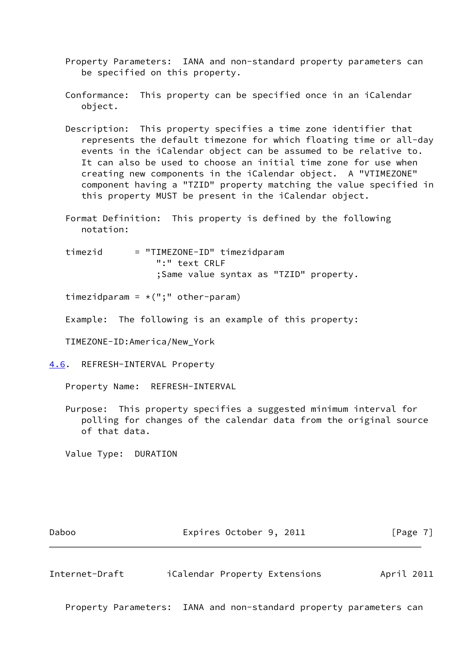- Property Parameters: IANA and non-standard property parameters can be specified on this property.
- Conformance: This property can be specified once in an iCalendar object.
- Description: This property specifies a time zone identifier that represents the default timezone for which floating time or all-day events in the iCalendar object can be assumed to be relative to. It can also be used to choose an initial time zone for use when creating new components in the iCalendar object. A "VTIMEZONE" component having a "TZID" property matching the value specified in this property MUST be present in the iCalendar object.
- Format Definition: This property is defined by the following notation:

 timezid = "TIMEZONE-ID" timezidparam ":" text CRLF ;Same value syntax as "TZID" property.

timezidparam =  $*(", " otherwise$  other-param)

Example: The following is an example of this property:

TIMEZONE-ID:America/New\_York

<span id="page-7-0"></span>[4.6](#page-7-0). REFRESH-INTERVAL Property

Property Name: REFRESH-INTERVAL

 Purpose: This property specifies a suggested minimum interval for polling for changes of the calendar data from the original source of that data.

Value Type: DURATION

Daboo **Expires October 9, 2011** [Page 7]

<span id="page-7-1"></span>Internet-Draft iCalendar Property Extensions April 2011

Property Parameters: IANA and non-standard property parameters can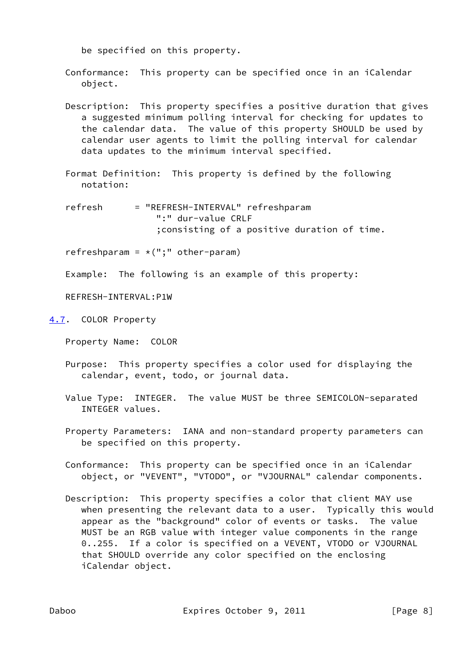be specified on this property.

 Conformance: This property can be specified once in an iCalendar object.

- Description: This property specifies a positive duration that gives a suggested minimum polling interval for checking for updates to the calendar data. The value of this property SHOULD be used by calendar user agents to limit the polling interval for calendar data updates to the minimum interval specified.
- Format Definition: This property is defined by the following notation:
- refresh = "REFRESH-INTERVAL" refreshparam ":" dur-value CRLF ;consisting of a positive duration of time.

refreshparam =  $*(";" other-param)$ 

Example: The following is an example of this property:

REFRESH-INTERVAL:P1W

- <span id="page-8-0"></span>[4.7](#page-8-0). COLOR Property
	- Property Name: COLOR
	- Purpose: This property specifies a color used for displaying the calendar, event, todo, or journal data.
	- Value Type: INTEGER. The value MUST be three SEMICOLON-separated INTEGER values.
	- Property Parameters: IANA and non-standard property parameters can be specified on this property.
	- Conformance: This property can be specified once in an iCalendar object, or "VEVENT", "VTODO", or "VJOURNAL" calendar components.
	- Description: This property specifies a color that client MAY use when presenting the relevant data to a user. Typically this would appear as the "background" color of events or tasks. The value MUST be an RGB value with integer value components in the range 0..255. If a color is specified on a VEVENT, VTODO or VJOURNAL that SHOULD override any color specified on the enclosing iCalendar object.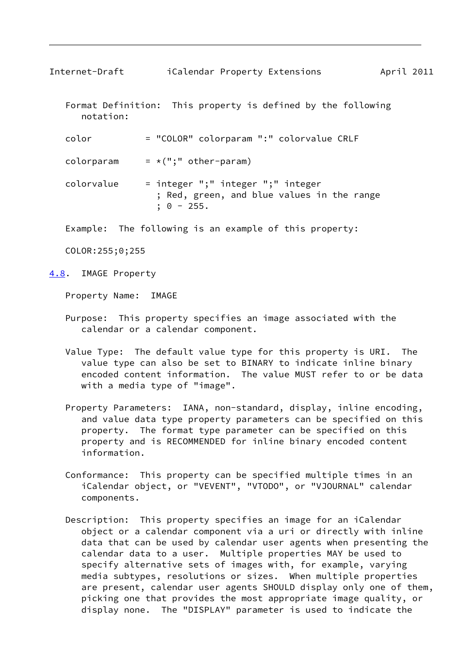<span id="page-9-1"></span>Internet-Draft iCalendar Property Extensions April 2011

 Format Definition: This property is defined by the following notation:

 color = "COLOR" colorparam ":" colorvalue CRLF colorparam  $= *(";" other-param)$  colorvalue = integer ";" integer ";" integer ; Red, green, and blue values in the range  $; 0 - 255.$ 

Example: The following is an example of this property:

COLOR:255;0;255

<span id="page-9-0"></span>[4.8](#page-9-0). IMAGE Property

Property Name: IMAGE

- Purpose: This property specifies an image associated with the calendar or a calendar component.
- Value Type: The default value type for this property is URI. The value type can also be set to BINARY to indicate inline binary encoded content information. The value MUST refer to or be data with a media type of "image".
- Property Parameters: IANA, non-standard, display, inline encoding, and value data type property parameters can be specified on this property. The format type parameter can be specified on this property and is RECOMMENDED for inline binary encoded content information.
- Conformance: This property can be specified multiple times in an iCalendar object, or "VEVENT", "VTODO", or "VJOURNAL" calendar components.
- Description: This property specifies an image for an iCalendar object or a calendar component via a uri or directly with inline data that can be used by calendar user agents when presenting the calendar data to a user. Multiple properties MAY be used to specify alternative sets of images with, for example, varying media subtypes, resolutions or sizes. When multiple properties are present, calendar user agents SHOULD display only one of them, picking one that provides the most appropriate image quality, or display none. The "DISPLAY" parameter is used to indicate the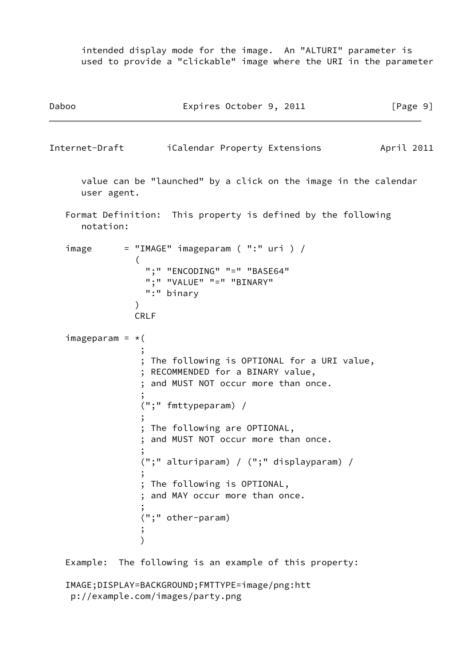intended display mode for the image. An "ALTURI" parameter is used to provide a "clickable" image where the URI in the parameter

<span id="page-10-0"></span>

| Daboo             | Expires October 9, 2011                                                                                             | [Page 9]   |
|-------------------|---------------------------------------------------------------------------------------------------------------------|------------|
| Internet-Draft    | iCalendar Property Extensions                                                                                       | April 2011 |
| user agent.       | value can be "launched" by a click on the image in the calendar                                                     |            |
| notation:         | Format Definition: This property is defined by the following                                                        |            |
| image             | $=$ "IMAGE" imageparam (":" uri ) /                                                                                 |            |
|                   | €<br>":" "ENCODING" "=" "BASE64"<br>":" "VALUE" "=" "BINARY"<br>":" binary<br><b>CRLF</b>                           |            |
| $imageparam = *($ |                                                                                                                     |            |
|                   | The following is OPTIONAL for a URI value,<br>RECOMMENDED for a BINARY value,<br>and MUST NOT occur more than once. |            |
|                   | (";" fmttypeparam) /                                                                                                |            |
|                   | ; The following are OPTIONAL,<br>and MUST NOT occur more than once.                                                 |            |
|                   | (";" alturiparam) / (";" displayparam) /                                                                            |            |
|                   | ; The following is OPTIONAL,<br>and MAY occur more than once.                                                       |            |
|                   | (";" other-param)                                                                                                   |            |
|                   | Example: The following is an example of this property:                                                              |            |

 IMAGE;DISPLAY=BACKGROUND;FMTTYPE=image/png:htt p://example.com/images/party.png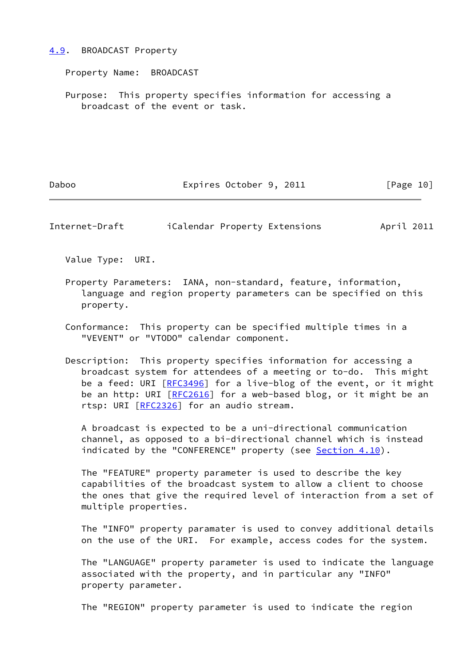#### <span id="page-11-0"></span>[4.9](#page-11-0). BROADCAST Property

Property Name: BROADCAST

 Purpose: This property specifies information for accessing a broadcast of the event or task.

Daboo **Expires October 9, 2011** [Page 10]

Internet-Draft iCalendar Property Extensions April 2011

Value Type: URI.

 Property Parameters: IANA, non-standard, feature, information, language and region property parameters can be specified on this property.

 Conformance: This property can be specified multiple times in a "VEVENT" or "VTODO" calendar component.

 Description: This property specifies information for accessing a broadcast system for attendees of a meeting or to-do. This might be a feed: URI [[RFC3496](https://datatracker.ietf.org/doc/pdf/rfc3496)] for a live-blog of the event, or it might be an http: URI [[RFC2616\]](https://datatracker.ietf.org/doc/pdf/rfc2616) for a web-based blog, or it might be an rtsp: URI [\[RFC2326](https://datatracker.ietf.org/doc/pdf/rfc2326)] for an audio stream.

 A broadcast is expected to be a uni-directional communication channel, as opposed to a bi-directional channel which is instead indicated by the "CONFERENCE" property (see [Section 4.10\)](#page-13-0).

 The "FEATURE" property parameter is used to describe the key capabilities of the broadcast system to allow a client to choose the ones that give the required level of interaction from a set of multiple properties.

 The "INFO" property paramater is used to convey additional details on the use of the URI. For example, access codes for the system.

 The "LANGUAGE" property parameter is used to indicate the language associated with the property, and in particular any "INFO" property parameter.

The "REGION" property parameter is used to indicate the region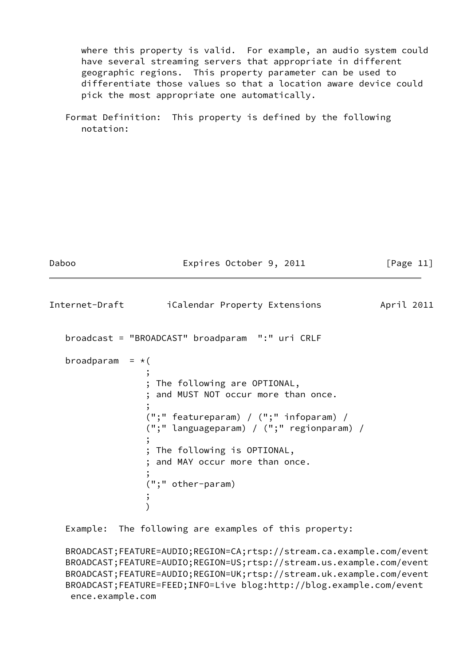where this property is valid. For example, an audio system could have several streaming servers that appropriate in different geographic regions. This property parameter can be used to differentiate those values so that a location aware device could pick the most appropriate one automatically.

```
 Format Definition: This property is defined by the following
   notation:
```
<span id="page-12-0"></span>

| Daboo                  | Expires October 9, 2011                                                                                                                                                                                                                                              | [Page $11$ ] |
|------------------------|----------------------------------------------------------------------------------------------------------------------------------------------------------------------------------------------------------------------------------------------------------------------|--------------|
| Internet-Draft         | iCalendar Property Extensions                                                                                                                                                                                                                                        | April 2011   |
|                        | broadcast = "BROADCAST" broadparam ":" uri CRLF                                                                                                                                                                                                                      |              |
| broadparam = $\star$ ( | The following are OPTIONAL,<br>; and MUST NOT occur more than once.<br>$('';'''$ featureparam) / $('';''''')$ infoparam) /<br>(";" languageparam) / (";" regionparam) /<br>; The following is OPTIONAL,<br>; and MAY occur more than once.<br>,<br>(";" other-param) |              |

Example: The following are examples of this property:

```
 BROADCAST;FEATURE=AUDIO;REGION=CA;rtsp://stream.ca.example.com/event
 BROADCAST;FEATURE=AUDIO;REGION=US;rtsp://stream.us.example.com/event
 BROADCAST;FEATURE=AUDIO;REGION=UK;rtsp://stream.uk.example.com/event
 BROADCAST;FEATURE=FEED;INFO=Live blog:http://blog.example.com/event
  ence.example.com
```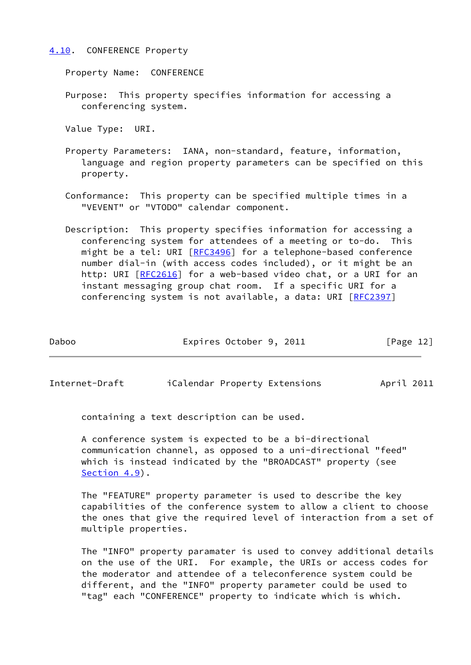#### <span id="page-13-0"></span>[4.10](#page-13-0). CONFERENCE Property

Property Name: CONFERENCE

 Purpose: This property specifies information for accessing a conferencing system.

Value Type: URI.

- Property Parameters: IANA, non-standard, feature, information, language and region property parameters can be specified on this property.
- Conformance: This property can be specified multiple times in a "VEVENT" or "VTODO" calendar component.
- Description: This property specifies information for accessing a conferencing system for attendees of a meeting or to-do. This might be a tel: URI [\[RFC3496](https://datatracker.ietf.org/doc/pdf/rfc3496)] for a telephone-based conference number dial-in (with access codes included), or it might be an http: URI [\[RFC2616](https://datatracker.ietf.org/doc/pdf/rfc2616)] for a web-based video chat, or a URI for an instant messaging group chat room. If a specific URI for a conferencing system is not available, a data: URI [\[RFC2397](https://datatracker.ietf.org/doc/pdf/rfc2397)]

| Daboo | Expires October 9, 2011 | [Page 12] |  |
|-------|-------------------------|-----------|--|
|       |                         |           |  |

Internet-Draft iCalendar Property Extensions April 2011

containing a text description can be used.

 A conference system is expected to be a bi-directional communication channel, as opposed to a uni-directional "feed" which is instead indicated by the "BROADCAST" property (see [Section 4.9](#page-11-0)).

 The "FEATURE" property parameter is used to describe the key capabilities of the conference system to allow a client to choose the ones that give the required level of interaction from a set of multiple properties.

 The "INFO" property paramater is used to convey additional details on the use of the URI. For example, the URIs or access codes for the moderator and attendee of a teleconference system could be different, and the "INFO" property parameter could be used to "tag" each "CONFERENCE" property to indicate which is which.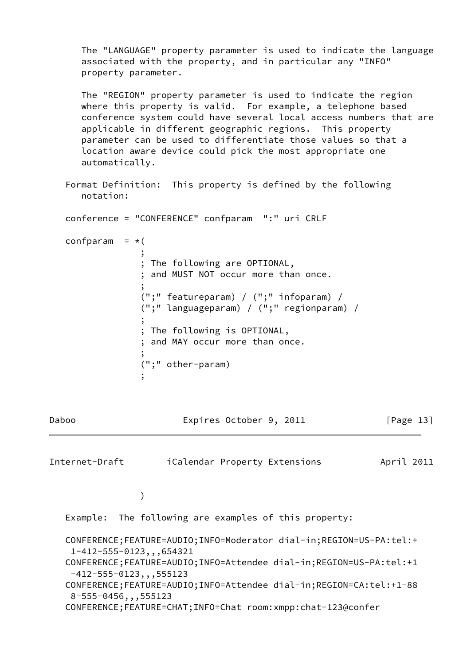The "LANGUAGE" property parameter is used to indicate the language associated with the property, and in particular any "INFO" property parameter.

 The "REGION" property parameter is used to indicate the region where this property is valid. For example, a telephone based conference system could have several local access numbers that are applicable in different geographic regions. This property parameter can be used to differentiate those values so that a location aware device could pick the most appropriate one automatically.

 Format Definition: This property is defined by the following notation:

conference = "CONFERENCE" confparam ":" uri CRLF

```
confparam = *(
```

| ; The following are OPTIONAL,             |
|-------------------------------------------|
| ; and MUST NOT occur more than once.      |
|                                           |
| (";" featureparam) / (";" infoparam) /    |
| (";" languageparam) / (";" regionparam) / |
|                                           |
| ; The following is OPTIONAL,              |
| ; and MAY occur more than once.           |
|                                           |
| $('';''' other-param)$                    |
|                                           |

Daboo Expires October 9, 2011 [Page 13]

<span id="page-14-0"></span>Internet-Draft iCalendar Property Extensions April 2011

 $)$ 

Example: The following are examples of this property:

```
 CONFERENCE;FEATURE=AUDIO;INFO=Moderator dial-in;REGION=US-PA:tel:+
  1-412-555-0123,,,654321
 CONFERENCE;FEATURE=AUDIO;INFO=Attendee dial-in;REGION=US-PA:tel:+1
  -412-555-0123,,,555123
 CONFERENCE;FEATURE=AUDIO;INFO=Attendee dial-in;REGION=CA:tel:+1-88
  8-555-0456,,,555123
 CONFERENCE;FEATURE=CHAT;INFO=Chat room:xmpp:chat-123@confer
```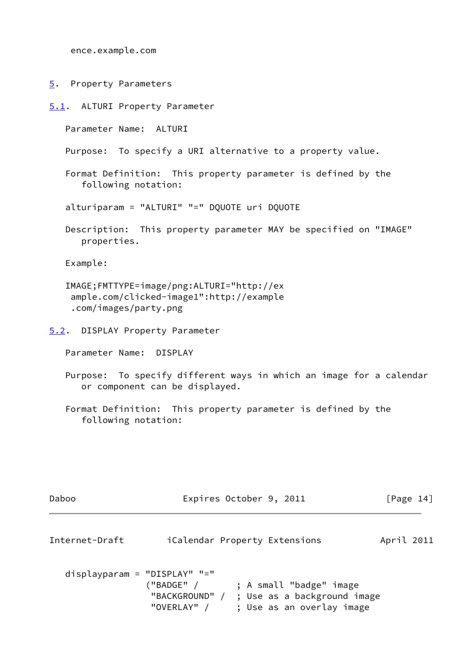ence.example.com

<span id="page-15-0"></span>[5](#page-15-0). Property Parameters

<span id="page-15-1"></span>[5.1](#page-15-1). ALTURI Property Parameter

Parameter Name: ALTURI

Purpose: To specify a URI alternative to a property value.

 Format Definition: This property parameter is defined by the following notation:

alturiparam = "ALTURI" "=" DQUOTE uri DQUOTE

 Description: This property parameter MAY be specified on "IMAGE" properties.

Example:

 IMAGE;FMTTYPE=image/png:ALTURI="http://ex ample.com/clicked-image1":http://example .com/images/party.png

<span id="page-15-2"></span>[5.2](#page-15-2). DISPLAY Property Parameter

Parameter Name: DISPLAY

- Purpose: To specify different ways in which an image for a calendar or component can be displayed.
- Format Definition: This property parameter is defined by the following notation:

<span id="page-15-3"></span>

| Daboo                           |                            | Expires October 9, 2011                                                                            | [Page 14]  |
|---------------------------------|----------------------------|----------------------------------------------------------------------------------------------------|------------|
| Internet-Draft                  |                            | <i>i</i> Calendar Property Extensions                                                              | April 2011 |
| $displayparam = "DISPLAN" "=""$ | ('BADGE'' /<br>"OVERLAY" / | ; A small "badge" image<br>"BACKGROUND" / ; Use as a background image<br>; Use as an overlay image |            |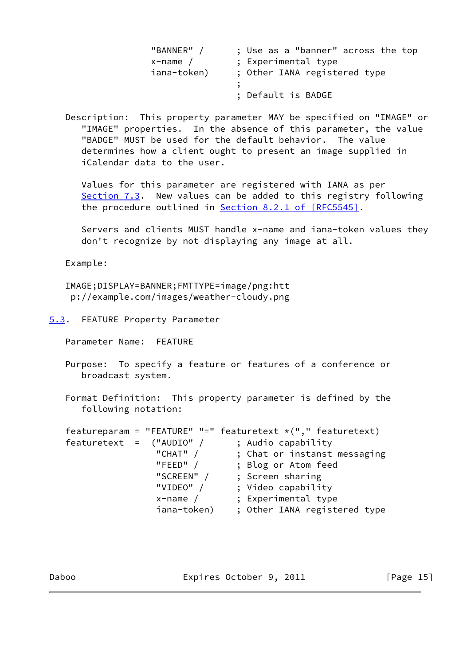| "BANNER"    | ; Use as a "banner" across the top |
|-------------|------------------------------------|
| $x$ -name / | ; Experimental type                |
| iana-token) | ; Other IANA registered type       |
|             | ; Default is BADGE                 |

 Description: This property parameter MAY be specified on "IMAGE" or "IMAGE" properties. In the absence of this parameter, the value "BADGE" MUST be used for the default behavior. The value determines how a client ought to present an image supplied in iCalendar data to the user.

 Values for this parameter are registered with IANA as per [Section 7.3](#page-19-2). New values can be added to this registry following the procedure outlined in Section [8.2.1 of \[RFC5545\].](https://datatracker.ietf.org/doc/pdf/rfc5545#section-8.2.1)

 Servers and clients MUST handle x-name and iana-token values they don't recognize by not displaying any image at all.

Example:

 IMAGE;DISPLAY=BANNER;FMTTYPE=image/png:htt p://example.com/images/weather-cloudy.png

<span id="page-16-0"></span>[5.3](#page-16-0). FEATURE Property Parameter

Parameter Name: FEATURE

 Purpose: To specify a feature or features of a conference or broadcast system.

 Format Definition: This property parameter is defined by the following notation:

featureparam = "FEATURE" "=" featuretext  $*(", "$  featuretext)  $\begin{array}{cccc} \text{featuretext} & = & ("AUDIO" / & & ; \text{ Audio capability} \\ & & "CHAT" / & & ; \text{ Chat or instant} \\ & & & \text{{} "FEED" / & & ; \text{ Blog or Atom fee} \end{array}$ ; Chat or instanst messaging "FEED" / ; Blog or Atom feed "SCREEN" / ; Screen sharing "VIDEO" / ; Video capability x-name / ; Experimental type iana-token) ; Other IANA registered type

Daboo **Expires October 9, 2011** [Page 15]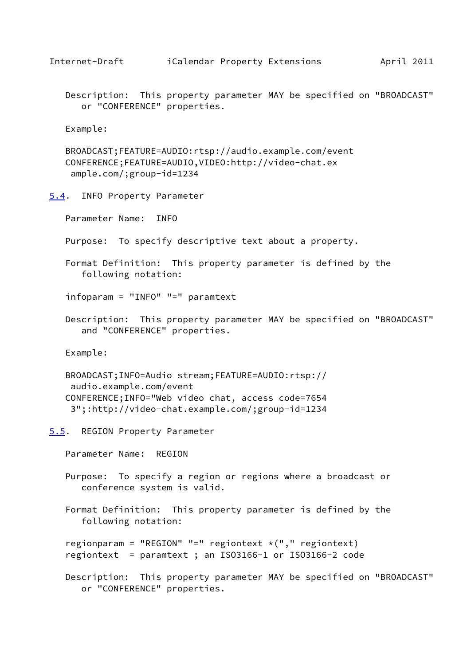<span id="page-17-1"></span>

 Description: This property parameter MAY be specified on "BROADCAST" or "CONFERENCE" properties.

Example:

 BROADCAST;FEATURE=AUDIO:rtsp://audio.example.com/event CONFERENCE;FEATURE=AUDIO,VIDEO:http://video-chat.ex ample.com/;group-id=1234

<span id="page-17-0"></span>[5.4](#page-17-0). INFO Property Parameter

Parameter Name: INFO

Purpose: To specify descriptive text about a property.

 Format Definition: This property parameter is defined by the following notation:

infoparam = "INFO" "=" paramtext

 Description: This property parameter MAY be specified on "BROADCAST" and "CONFERENCE" properties.

Example:

 BROADCAST;INFO=Audio stream;FEATURE=AUDIO:rtsp:// audio.example.com/event CONFERENCE;INFO="Web video chat, access code=7654 3";:http://video-chat.example.com/;group-id=1234

<span id="page-17-2"></span>[5.5](#page-17-2). REGION Property Parameter

Parameter Name: REGION

 Purpose: To specify a region or regions where a broadcast or conference system is valid.

 Format Definition: This property parameter is defined by the following notation:

regionparam = "REGION" "=" regiontext  $*(", "$  regiontext) regiontext = paramtext ; an ISO3166-1 or ISO3166-2 code

 Description: This property parameter MAY be specified on "BROADCAST" or "CONFERENCE" properties.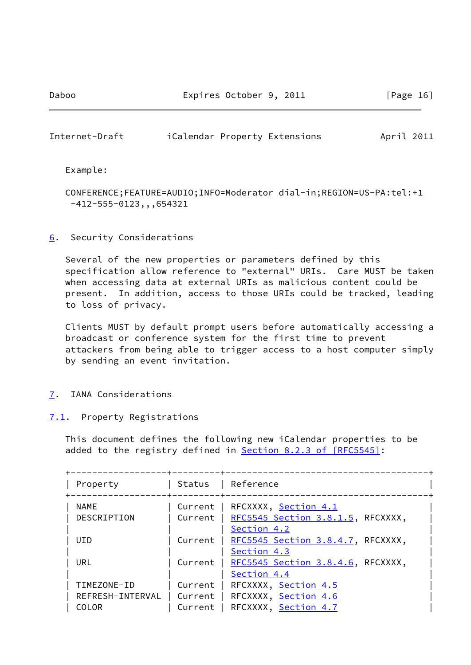Daboo **Expires October 9, 2011** [Page 16]

<span id="page-18-1"></span>Internet-Draft iCalendar Property Extensions April 2011

Example:

 CONFERENCE;FEATURE=AUDIO;INFO=Moderator dial-in;REGION=US-PA:tel:+1 -412-555-0123,,,654321

<span id="page-18-0"></span>[6](#page-18-0). Security Considerations

 Several of the new properties or parameters defined by this specification allow reference to "external" URIs. Care MUST be taken when accessing data at external URIs as malicious content could be present. In addition, access to those URIs could be tracked, leading to loss of privacy.

 Clients MUST by default prompt users before automatically accessing a broadcast or conference system for the first time to prevent attackers from being able to trigger access to a host computer simply by sending an event invitation.

- <span id="page-18-2"></span>[7](#page-18-2). IANA Considerations
- <span id="page-18-3"></span>[7.1](#page-18-3). Property Registrations

 This document defines the following new iCalendar properties to be added to the registry defined in Section [8.2.3 of \[RFC5545\]:](https://datatracker.ietf.org/doc/pdf/rfc5545#section-8.2.3)

| Property<br>------------------+---------+---- |                    | Status   Reference                                                                                       |
|-----------------------------------------------|--------------------|----------------------------------------------------------------------------------------------------------|
| <b>NAME</b><br>DESCRIPTION                    |                    | Current   RFCXXXX, Section 4.1<br>Current   RFC5545 Section 3.8.1.5, RFCXXXX,<br>Section 4.2             |
| <b>UID</b>                                    |                    | Current   RFC5545 Section 3.8.4.7, RFCXXXX,<br>Section 4.3                                               |
| URL                                           |                    | Current   RFC5545 Section 3.8.4.6, RFCXXXX,<br>Section 4.4                                               |
| TIMEZONE-ID<br>COLOR                          | Current<br>Current | RFCXXXX, Section 4.5<br>REFRESH-INTERVAL   Current   RFCXXXX, Section 4.6<br>RFCXXXX, <u>Section 4.7</u> |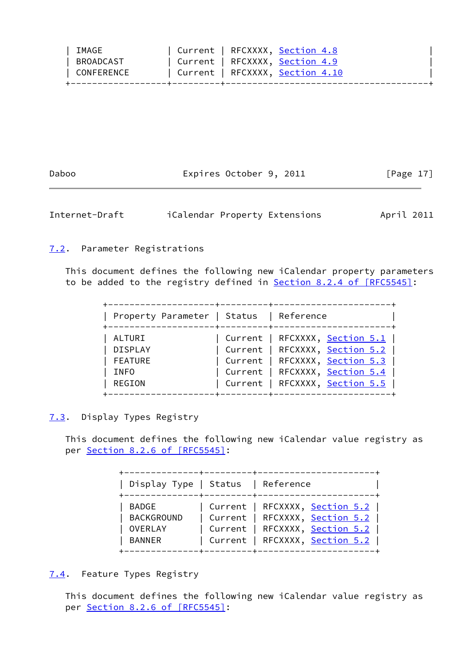| IMAGE      | Current   RFCXXXX, Section 4.8        |  |
|------------|---------------------------------------|--|
| BROADCAST  | Current   RFCXXXX, <u>Section 4.9</u> |  |
| CONFERENCE | Current   RFCXXXX, Section 4.10       |  |
|            |                                       |  |

Daboo **Expires October 9, 2011** [Page 17]

<span id="page-19-1"></span>Internet-Draft iCalendar Property Extensions April 2011

# <span id="page-19-0"></span>[7.2](#page-19-0). Parameter Registrations

 This document defines the following new iCalendar property parameters to be added to the registry defined in Section [8.2.4 of \[RFC5545\]:](https://datatracker.ietf.org/doc/pdf/rfc5545#section-8.2.4)

| Property Parameter   Status                                         | Reference                                                                                                                                                                                     |
|---------------------------------------------------------------------|-----------------------------------------------------------------------------------------------------------------------------------------------------------------------------------------------|
| ALTURI<br><b>DISPLAY</b><br><b>FEATURE</b><br><b>INFO</b><br>REGION | Current   RFCXXXX, <u>Section 5.1</u>  <br>  Current   RFCXXXX, Section 5.2  <br>  Current   RFCXXXX, Section 5.3  <br>  Current   RFCXXXX, Section 5.4  <br>  Current   RFCXXXX, Section 5.5 |

# <span id="page-19-2"></span>[7.3](#page-19-2). Display Types Registry

 This document defines the following new iCalendar value registry as per Section [8.2.6 of \[RFC5545\]:](https://datatracker.ietf.org/doc/pdf/rfc5545#section-8.2.6)

| Display Type   Status   Reference                                                                                                                              |  |  |  |  |  |  |  |  |  |  |  |  |  |
|----------------------------------------------------------------------------------------------------------------------------------------------------------------|--|--|--|--|--|--|--|--|--|--|--|--|--|
| Current   RFCXXXX, <u>Section 5.2</u>  <br>  Current   RFCXXXX, Section 5.2  <br>  Current   RFCXXXX, <u>Section 5.2</u>  <br>  Current   RFCXXXX, Section 5.2 |  |  |  |  |  |  |  |  |  |  |  |  |  |

# <span id="page-19-3"></span>[7.4](#page-19-3). Feature Types Registry

 This document defines the following new iCalendar value registry as per Section [8.2.6 of \[RFC5545\]:](https://datatracker.ietf.org/doc/pdf/rfc5545#section-8.2.6)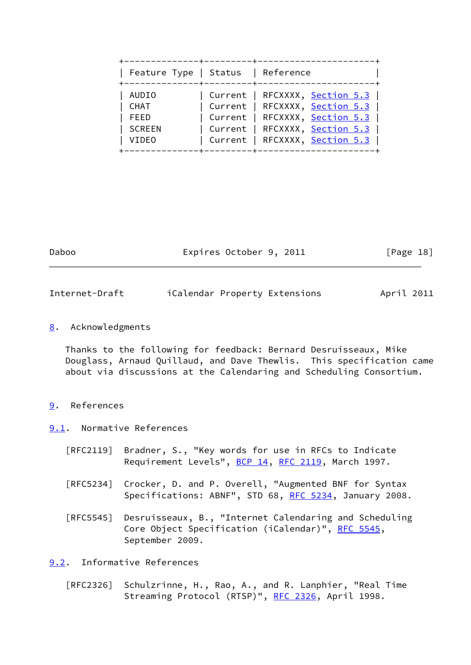| Feature Type   Status   Reference                             |                                                                                                                                                                                               |
|---------------------------------------------------------------|-----------------------------------------------------------------------------------------------------------------------------------------------------------------------------------------------|
| <b>AUDIO</b><br>CHAT<br>FEED<br><b>SCREEN</b><br><b>VIDEO</b> | Current   RFCXXXX, <u>Section 5.3</u>  <br>  Current   RFCXXXX, Section 5.3  <br>  Current   RFCXXXX, Section 5.3  <br>  Current   RFCXXXX, Section 5.3  <br>  Current   RFCXXXX, Section 5.3 |

| Daboo | Expires October 9, 2011 | [Page 18] |
|-------|-------------------------|-----------|
|       |                         |           |
|       |                         |           |

<span id="page-20-1"></span>Internet-Draft iCalendar Property Extensions April 2011

<span id="page-20-0"></span>[8](#page-20-0). Acknowledgments

 Thanks to the following for feedback: Bernard Desruisseaux, Mike Douglass, Arnaud Quillaud, and Dave Thewlis. This specification came about via discussions at the Calendaring and Scheduling Consortium.

## <span id="page-20-2"></span>[9](#page-20-2). References

<span id="page-20-3"></span>[9.1](#page-20-3). Normative References

- [RFC2119] Bradner, S., "Key words for use in RFCs to Indicate Requirement Levels", [BCP 14](https://datatracker.ietf.org/doc/pdf/bcp14), [RFC 2119](https://datatracker.ietf.org/doc/pdf/rfc2119), March 1997.
- [RFC5234] Crocker, D. and P. Overell, "Augmented BNF for Syntax Specifications: ABNF", STD 68, [RFC 5234](https://datatracker.ietf.org/doc/pdf/rfc5234), January 2008.
- [RFC5545] Desruisseaux, B., "Internet Calendaring and Scheduling Core Object Specification (iCalendar)", [RFC 5545,](https://datatracker.ietf.org/doc/pdf/rfc5545) September 2009.

## <span id="page-20-4"></span>[9.2](#page-20-4). Informative References

 [RFC2326] Schulzrinne, H., Rao, A., and R. Lanphier, "Real Time Streaming Protocol (RTSP)", [RFC 2326,](https://datatracker.ietf.org/doc/pdf/rfc2326) April 1998.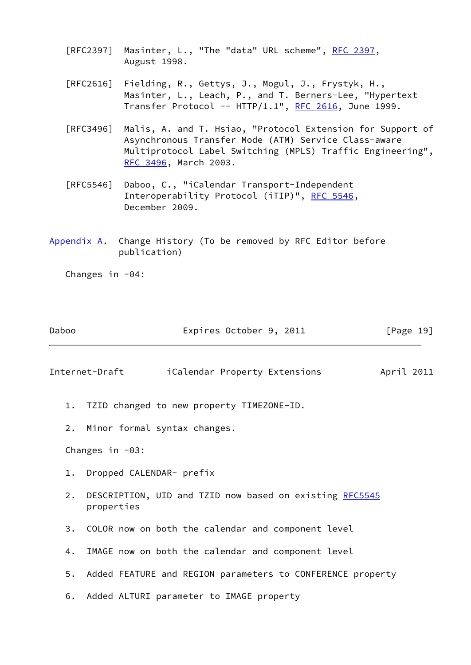- [RFC2397] Masinter, L., "The "data" URL scheme", [RFC 2397](https://datatracker.ietf.org/doc/pdf/rfc2397), August 1998.
- [RFC2616] Fielding, R., Gettys, J., Mogul, J., Frystyk, H., Masinter, L., Leach, P., and T. Berners-Lee, "Hypertext Transfer Protocol --  $HTTP/1.1$ ", [RFC 2616,](https://datatracker.ietf.org/doc/pdf/rfc2616) June 1999.
- [RFC3496] Malis, A. and T. Hsiao, "Protocol Extension for Support of Asynchronous Transfer Mode (ATM) Service Class-aware Multiprotocol Label Switching (MPLS) Traffic Engineering", [RFC 3496,](https://datatracker.ietf.org/doc/pdf/rfc3496) March 2003.
- [RFC5546] Daboo, C., "iCalendar Transport-Independent Interoperability Protocol (iTIP)", [RFC 5546](https://datatracker.ietf.org/doc/pdf/rfc5546), December 2009.
- <span id="page-21-0"></span>[Appendix A.](#page-21-0) Change History (To be removed by RFC Editor before publication)

Changes in  $-04$ :

| Daboo | Expires October 9, 2011 | [Page 19] |
|-------|-------------------------|-----------|
|-------|-------------------------|-----------|

<span id="page-21-1"></span>Internet-Draft iCalendar Property Extensions April 2011

- 1. TZID changed to new property TIMEZONE-ID.
- 2. Minor formal syntax changes.

Changes in  $-03$ :

- 1. Dropped CALENDAR- prefix
- 2. DESCRIPTION, UID and TZID now based on existing [RFC5545](https://datatracker.ietf.org/doc/pdf/rfc5545) properties
- 3. COLOR now on both the calendar and component level
- 4. IMAGE now on both the calendar and component level
- 5. Added FEATURE and REGION parameters to CONFERENCE property
- 6. Added ALTURI parameter to IMAGE property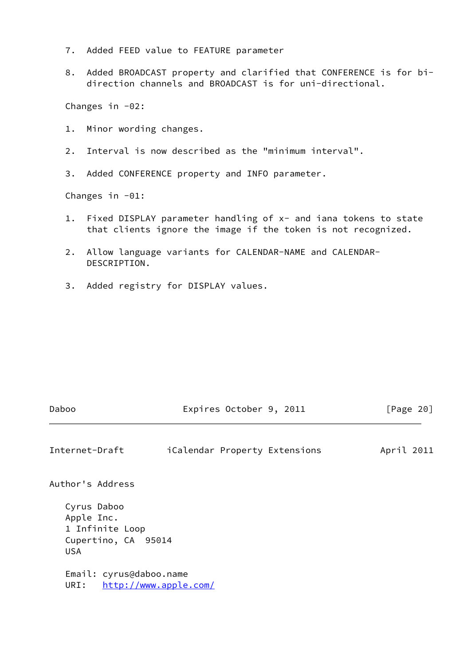- 7. Added FEED value to FEATURE parameter
- 8. Added BROADCAST property and clarified that CONFERENCE is for bi direction channels and BROADCAST is for uni-directional.

Changes in -02:

- 1. Minor wording changes.
- 2. Interval is now described as the "minimum interval".
- 3. Added CONFERENCE property and INFO parameter.

Changes in -01:

- 1. Fixed DISPLAY parameter handling of x- and iana tokens to state that clients ignore the image if the token is not recognized.
- 2. Allow language variants for CALENDAR-NAME and CALENDAR- DESCRIPTION.
- 3. Added registry for DISPLAY values.

Daboo **Expires October 9, 2011** [Page 20]

Internet-Draft iCalendar Property Extensions April 2011

Author's Address

 Cyrus Daboo Apple Inc. 1 Infinite Loop Cupertino, CA 95014 USA

 Email: cyrus@daboo.name URI: <http://www.apple.com/>